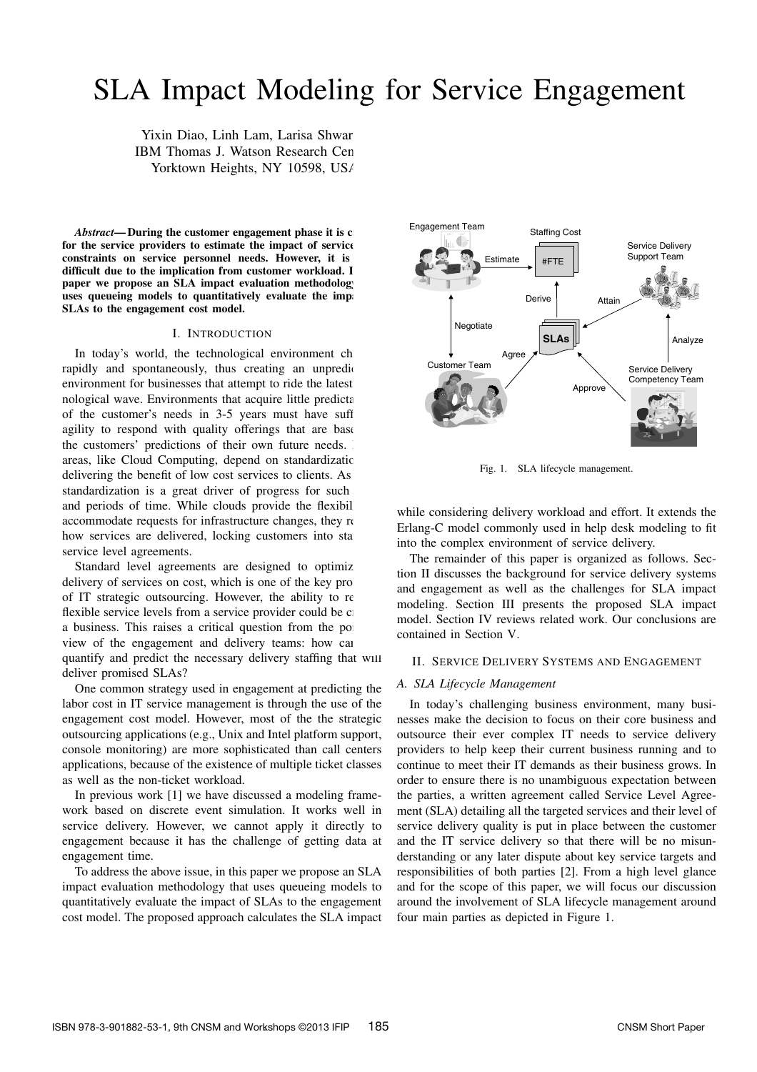# SLA Impact Modeling for Service Engagement

Yixin Diao, Linh Lam, Larisa Shwart IBM Thomas J. Watson Research Cent Yorktown Heights, NY 10598, USA

*Abstract*— During the customer engagement phase it is c for the service providers to estimate the impact of service constraints on service personnel needs. However, it is difficult due to the implication from customer workload. I paper we propose an SLA impact evaluation methodology uses queueing models to quantitatively evaluate the impacture. **SLAs to the engagement cost model.**

## I. INTRODUCTION

In today's world, the technological environment ch rapidly and spontaneously, thus creating an unpredictable environment for businesses that attempt to ride the latest nological wave. Environments that acquire little predicta of the customer's needs in 3-5 years must have suff agility to respond with quality offerings that are based the customers' predictions of their own future needs. areas, like Cloud Computing, depend on standardization delivering the benefit of low cost services to clients. As standardization is a great driver of progress for such and periods of time. While clouds provide the flexibil accommodate requests for infrastructure changes, they re how services are delivered, locking customers into sta service level agreements.

Standard level agreements are designed to optimize delivery of services on cost, which is one of the key proof IT strategic outsourcing. However, the ability to request flexible service levels from a service provider could be ca a business. This raises a critical question from the point view of the engagement and delivery teams: how can quantify and predict the necessary delivery staffing that will deliver promised SLAs?

One common strategy used in engagement at predicting the labor cost in IT service management is through the use of the engagement cost model. However, most of the the strategic outsourcing applications (e.g., Unix and Intel platform support, console monitoring) are more sophisticated than call centers applications, because of the existence of multiple ticket classes as well as the non-ticket workload.

In previous work [1] we have discussed a modeling framework based on discrete event simulation. It works well in service delivery. However, we cannot apply it directly to engagement because it has the challenge of getting data at engagement time.

To address the above issue, in this paper we propose an SLA impact evaluation methodology that uses queueing models to quantitatively evaluate the impact of SLAs to the engagement cost model. The proposed approach calculates the SLA impact



Fig. 1. SLA lifecycle management.

while considering delivery workload and effort. It extends the Erlang-C model commonly used in help desk modeling to fit into the complex environment of service delivery.

The remainder of this paper is organized as follows. Section II discusses the background for service delivery systems and engagement as well as the challenges for SLA impact modeling. Section III presents the proposed SLA impact model. Section IV reviews related work. Our conclusions are contained in Section V.

## II. SERVICE DELIVERY SYSTEMS AND ENGAGEMENT

## *A. SLA Lifecycle Management*

In today's challenging business environment, many businesses make the decision to focus on their core business and outsource their ever complex IT needs to service delivery providers to help keep their current business running and to continue to meet their IT demands as their business grows. In order to ensure there is no unambiguous expectation between the parties, a written agreement called Service Level Agreement (SLA) detailing all the targeted services and their level of service delivery quality is put in place between the customer and the IT service delivery so that there will be no misunderstanding or any later dispute about key service targets and responsibilities of both parties [2]. From a high level glance and for the scope of this paper, we will focus our discussion around the involvement of SLA lifecycle management around four main parties as depicted in Figure 1.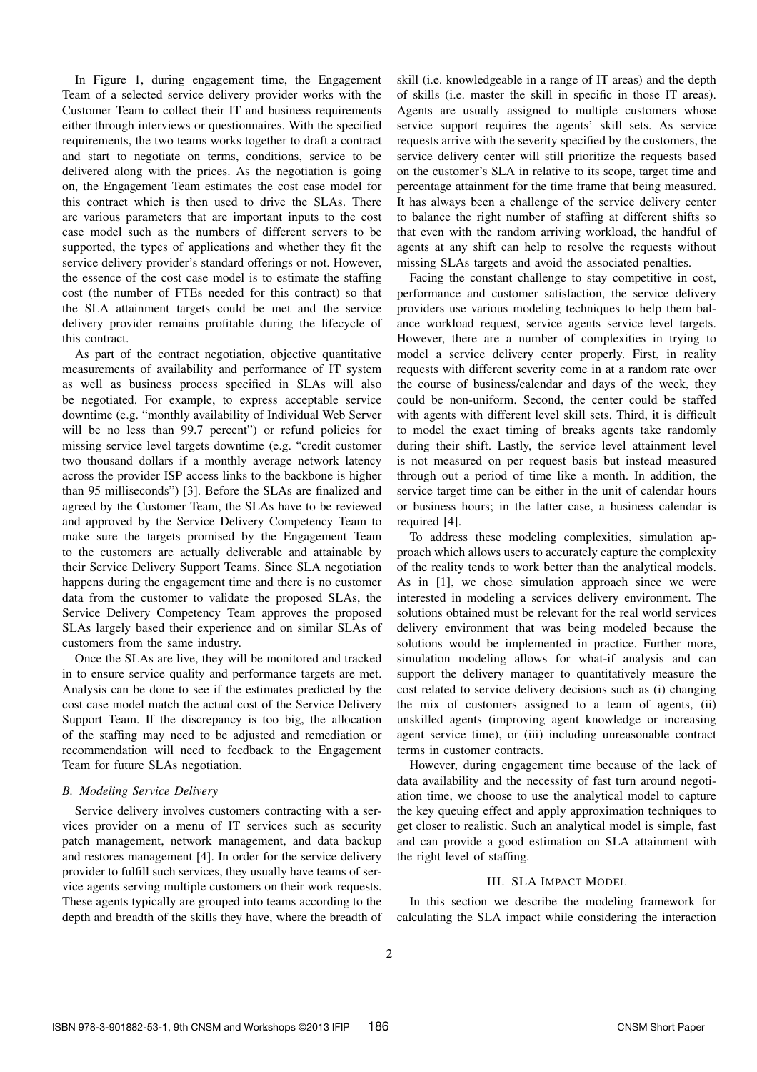In Figure 1, during engagement time, the Engagement Team of a selected service delivery provider works with the Customer Team to collect their IT and business requirements either through interviews or questionnaires. With the specified requirements, the two teams works together to draft a contract and start to negotiate on terms, conditions, service to be delivered along with the prices. As the negotiation is going on, the Engagement Team estimates the cost case model for this contract which is then used to drive the SLAs. There are various parameters that are important inputs to the cost case model such as the numbers of different servers to be supported, the types of applications and whether they fit the service delivery provider's standard offerings or not. However, the essence of the cost case model is to estimate the staffing cost (the number of FTEs needed for this contract) so that the SLA attainment targets could be met and the service delivery provider remains profitable during the lifecycle of this contract.

As part of the contract negotiation, objective quantitative measurements of availability and performance of IT system as well as business process specified in SLAs will also be negotiated. For example, to express acceptable service downtime (e.g. "monthly availability of Individual Web Server will be no less than 99.7 percent") or refund policies for missing service level targets downtime (e.g. "credit customer two thousand dollars if a monthly average network latency across the provider ISP access links to the backbone is higher than 95 milliseconds") [3]. Before the SLAs are finalized and agreed by the Customer Team, the SLAs have to be reviewed and approved by the Service Delivery Competency Team to make sure the targets promised by the Engagement Team to the customers are actually deliverable and attainable by their Service Delivery Support Teams. Since SLA negotiation happens during the engagement time and there is no customer data from the customer to validate the proposed SLAs, the Service Delivery Competency Team approves the proposed SLAs largely based their experience and on similar SLAs of customers from the same industry.

Once the SLAs are live, they will be monitored and tracked in to ensure service quality and performance targets are met. Analysis can be done to see if the estimates predicted by the cost case model match the actual cost of the Service Delivery Support Team. If the discrepancy is too big, the allocation of the staffing may need to be adjusted and remediation or recommendation will need to feedback to the Engagement Team for future SLAs negotiation.

# *B. Modeling Service Delivery*

Service delivery involves customers contracting with a services provider on a menu of IT services such as security patch management, network management, and data backup and restores management [4]. In order for the service delivery provider to fulfill such services, they usually have teams of service agents serving multiple customers on their work requests. These agents typically are grouped into teams according to the depth and breadth of the skills they have, where the breadth of skill (i.e. knowledgeable in a range of IT areas) and the depth of skills (i.e. master the skill in specific in those IT areas). Agents are usually assigned to multiple customers whose service support requires the agents' skill sets. As service requests arrive with the severity specified by the customers, the service delivery center will still prioritize the requests based on the customer's SLA in relative to its scope, target time and percentage attainment for the time frame that being measured. It has always been a challenge of the service delivery center to balance the right number of staffing at different shifts so that even with the random arriving workload, the handful of agents at any shift can help to resolve the requests without missing SLAs targets and avoid the associated penalties.

Facing the constant challenge to stay competitive in cost, performance and customer satisfaction, the service delivery providers use various modeling techniques to help them balance workload request, service agents service level targets. However, there are a number of complexities in trying to model a service delivery center properly. First, in reality requests with different severity come in at a random rate over the course of business/calendar and days of the week, they could be non-uniform. Second, the center could be staffed with agents with different level skill sets. Third, it is difficult to model the exact timing of breaks agents take randomly during their shift. Lastly, the service level attainment level is not measured on per request basis but instead measured through out a period of time like a month. In addition, the service target time can be either in the unit of calendar hours or business hours; in the latter case, a business calendar is required [4].

To address these modeling complexities, simulation approach which allows users to accurately capture the complexity of the reality tends to work better than the analytical models. As in [1], we chose simulation approach since we were interested in modeling a services delivery environment. The solutions obtained must be relevant for the real world services delivery environment that was being modeled because the solutions would be implemented in practice. Further more, simulation modeling allows for what-if analysis and can support the delivery manager to quantitatively measure the cost related to service delivery decisions such as (i) changing the mix of customers assigned to a team of agents, (ii) unskilled agents (improving agent knowledge or increasing agent service time), or (iii) including unreasonable contract terms in customer contracts.

However, during engagement time because of the lack of data availability and the necessity of fast turn around negotiation time, we choose to use the analytical model to capture the key queuing effect and apply approximation techniques to get closer to realistic. Such an analytical model is simple, fast and can provide a good estimation on SLA attainment with the right level of staffing.

# III. SLA IMPACT MODEL

In this section we describe the modeling framework for calculating the SLA impact while considering the interaction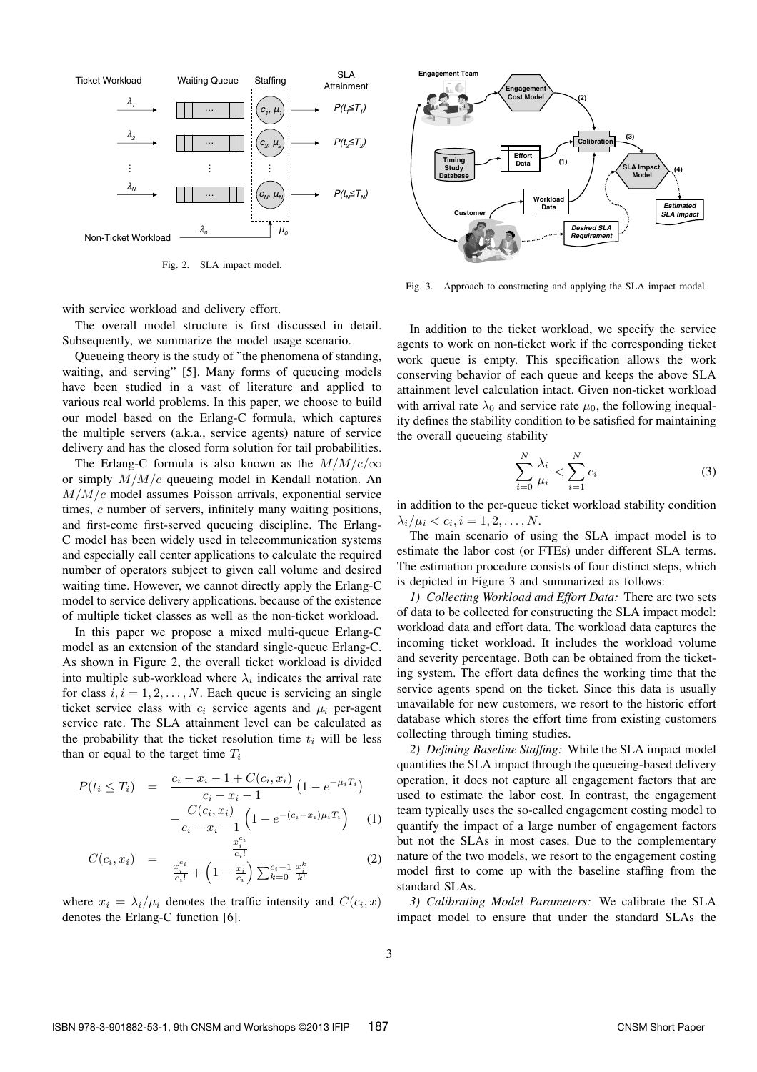

Fig. 2. SLA impact model.

with service workload and delivery effort.

The overall model structure is first discussed in detail. Subsequently, we summarize the model usage scenario.

Queueing theory is the study of "the phenomena of standing, waiting, and serving" [5]. Many forms of queueing models have been studied in a vast of literature and applied to various real world problems. In this paper, we choose to build our model based on the Erlang-C formula, which captures the multiple servers (a.k.a., service agents) nature of service delivery and has the closed form solution for tail probabilities.

The Erlang-C formula is also known as the  $M/M/c/\infty$ or simply  $M/M/c$  queueing model in Kendall notation. An  $M/M/c$  model assumes Poisson arrivals, exponential service times,  $c$  number of servers, infinitely many waiting positions, and first-come first-served queueing discipline. The Erlang-C model has been widely used in telecommunication systems and especially call center applications to calculate the required number of operators subject to given call volume and desired waiting time. However, we cannot directly apply the Erlang-C model to service delivery applications. because of the existence of multiple ticket classes as well as the non-ticket workload.

In this paper we propose a mixed multi-queue Erlang-C model as an extension of the standard single-queue Erlang-C. As shown in Figure 2, the overall ticket workload is divided into multiple sub-workload where  $\lambda_i$  indicates the arrival rate for class  $i, i = 1, 2, \ldots, N$ . Each queue is servicing an single ticket service class with  $c_i$  service agents and  $\mu_i$  per-agent service rate. The SLA attainment level can be calculated as the probability that the ticket resolution time  $t_i$  will be less than or equal to the target time  $T_i$ 

$$
P(t_i \leq T_i) = \frac{c_i - x_i - 1 + C(c_i, x_i)}{c_i - x_i - 1} \left(1 - e^{-\mu_i T_i}\right)
$$

$$
-\frac{C(c_i, x_i)}{c_i - x_i - 1} \left(1 - e^{-(c_i - x_i)\mu_i T_i}\right) \quad (1)
$$

$$
C(c_i, x_i) = \frac{\frac{x_i^{c_i}}{c_i!}}{\frac{x_i^{c_i}}{c_i!} + \left(1 - \frac{x_i}{c_i}\right) \sum_{k=0}^{c_i - 1} \frac{x_i^k}{k!}}
$$
(2)

where  $x_i = \lambda_i / \mu_i$  denotes the traffic intensity and  $C(c_i, x)$ denotes the Erlang-C function [6].



Fig. 3. Approach to constructing and applying the SLA impact model.

In addition to the ticket workload, we specify the service agents to work on non-ticket work if the corresponding ticket work queue is empty. This specification allows the work conserving behavior of each queue and keeps the above SLA attainment level calculation intact. Given non-ticket workload with arrival rate  $\lambda_0$  and service rate  $\mu_0$ , the following inequality defines the stability condition to be satisfied for maintaining the overall queueing stability

$$
\sum_{i=0}^{N} \frac{\lambda_i}{\mu_i} < \sum_{i=1}^{N} c_i \tag{3}
$$

in addition to the per-queue ticket workload stability condition  $\lambda_i/\mu_i < c_i, i = 1, 2, ..., N$ .

The main scenario of using the SLA impact model is to estimate the labor cost (or FTEs) under different SLA terms. The estimation procedure consists of four distinct steps, which is depicted in Figure 3 and summarized as follows:

*1) Collecting Workload and Effort Data:* There are two sets of data to be collected for constructing the SLA impact model: workload data and effort data. The workload data captures the incoming ticket workload. It includes the workload volume and severity percentage. Both can be obtained from the ticketing system. The effort data defines the working time that the service agents spend on the ticket. Since this data is usually unavailable for new customers, we resort to the historic effort database which stores the effort time from existing customers collecting through timing studies.

*2) Defining Baseline Staffing:* While the SLA impact model quantifies the SLA impact through the queueing-based delivery operation, it does not capture all engagement factors that are used to estimate the labor cost. In contrast, the engagement team typically uses the so-called engagement costing model to quantify the impact of a large number of engagement factors but not the SLAs in most cases. Due to the complementary nature of the two models, we resort to the engagement costing model first to come up with the baseline staffing from the standard SLAs.

*3) Calibrating Model Parameters:* We calibrate the SLA impact model to ensure that under the standard SLAs the